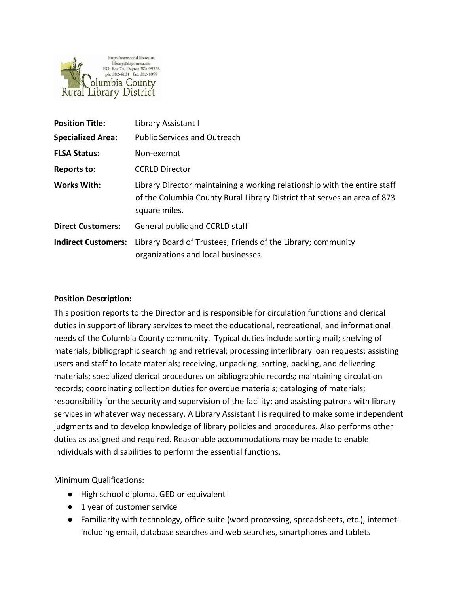

| <b>Position Title:</b>     | Library Assistant I                                                                                                                                                    |
|----------------------------|------------------------------------------------------------------------------------------------------------------------------------------------------------------------|
| <b>Specialized Area:</b>   | <b>Public Services and Outreach</b>                                                                                                                                    |
| <b>FLSA Status:</b>        | Non-exempt                                                                                                                                                             |
| <b>Reports to:</b>         | <b>CCRLD Director</b>                                                                                                                                                  |
| <b>Works With:</b>         | Library Director maintaining a working relationship with the entire staff<br>of the Columbia County Rural Library District that serves an area of 873<br>square miles. |
| <b>Direct Customers:</b>   | General public and CCRLD staff                                                                                                                                         |
| <b>Indirect Customers:</b> | Library Board of Trustees; Friends of the Library; community<br>organizations and local businesses.                                                                    |

### **Position Description:**

This position reports to the Director and is responsible for circulation functions and clerical duties in support of library services to meet the educational, recreational, and informational needs of the Columbia County community. Typical duties include sorting mail; shelving of materials; bibliographic searching and retrieval; processing interlibrary loan requests; assisting users and staff to locate materials; receiving, unpacking, sorting, packing, and delivering materials; specialized clerical procedures on bibliographic records; maintaining circulation records; coordinating collection duties for overdue materials; cataloging of materials; responsibility for the security and supervision of the facility; and assisting patrons with library services in whatever way necessary. A Library Assistant I is required to make some independent judgments and to develop knowledge of library policies and procedures. Also performs other duties as assigned and required. Reasonable accommodations may be made to enable individuals with disabilities to perform the essential functions.

Minimum Qualifications:

- High school diploma, GED or equivalent
- 1 year of customer service
- Familiarity with technology, office suite (word processing, spreadsheets, etc.), internetincluding email, database searches and web searches, smartphones and tablets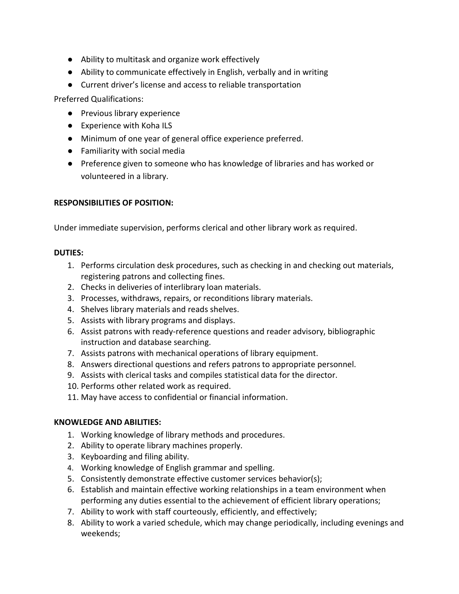- Ability to multitask and organize work effectively
- Ability to communicate effectively in English, verbally and in writing
- Current driver's license and access to reliable transportation

Preferred Qualifications:

- Previous library experience
- Experience with Koha ILS
- Minimum of one year of general office experience preferred.
- Familiarity with social media
- Preference given to someone who has knowledge of libraries and has worked or volunteered in a library.

# **RESPONSIBILITIES OF POSITION:**

Under immediate supervision, performs clerical and other library work as required.

### **DUTIES:**

- 1. Performs circulation desk procedures, such as checking in and checking out materials, registering patrons and collecting fines.
- 2. Checks in deliveries of interlibrary loan materials.
- 3. Processes, withdraws, repairs, or reconditions library materials.
- 4. Shelves library materials and reads shelves.
- 5. Assists with library programs and displays.
- 6. Assist patrons with ready-reference questions and reader advisory, bibliographic instruction and database searching.
- 7. Assists patrons with mechanical operations of library equipment.
- 8. Answers directional questions and refers patrons to appropriate personnel.
- 9. Assists with clerical tasks and compiles statistical data for the director.
- 10. Performs other related work as required.
- 11. May have access to confidential or financial information.

# **KNOWLEDGE AND ABILITIES:**

- 1. Working knowledge of library methods and procedures.
- 2. Ability to operate library machines properly.
- 3. Keyboarding and filing ability.
- 4. Working knowledge of English grammar and spelling.
- 5. Consistently demonstrate effective customer services behavior(s);
- 6. Establish and maintain effective working relationships in a team environment when performing any duties essential to the achievement of efficient library operations;
- 7. Ability to work with staff courteously, efficiently, and effectively;
- 8. Ability to work a varied schedule, which may change periodically, including evenings and weekends;